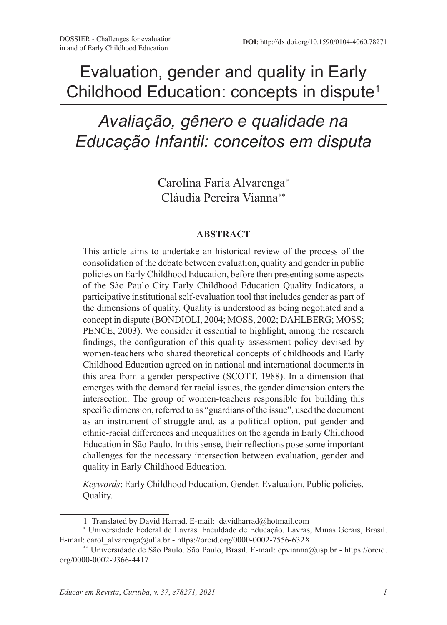## Evaluation, gender and quality in Early Childhood Education: concepts in dispute<sup>1</sup>

# *Avaliação, gênero e qualidade na Educação Infantil: conceitos em disputa*

Carolina Faria Alvarenga<sup>∗</sup> Cláudia Pereira Vianna∗∗

#### **ABSTRACT**

This article aims to undertake an historical review of the process of the consolidation of the debate between evaluation, quality and gender in public policies on Early Childhood Education, before then presenting some aspects of the São Paulo City Early Childhood Education Quality Indicators, a participative institutional self-evaluation tool that includes gender as part of the dimensions of quality. Quality is understood as being negotiated and a concept in dispute (BONDIOLI, 2004; MOSS, 2002; DAHLBERG; MOSS; PENCE, 2003). We consider it essential to highlight, among the research findings, the configuration of this quality assessment policy devised by women-teachers who shared theoretical concepts of childhoods and Early Childhood Education agreed on in national and international documents in this area from a gender perspective (SCOTT, 1988). In a dimension that emerges with the demand for racial issues, the gender dimension enters the intersection. The group of women-teachers responsible for building this specific dimension, referred to as "guardians of the issue", used the document as an instrument of struggle and, as a political option, put gender and ethnic-racial differences and inequalities on the agenda in Early Childhood Education in São Paulo. In this sense, their reflections pose some important challenges for the necessary intersection between evaluation, gender and quality in Early Childhood Education.

*Keywords*: Early Childhood Education. Gender. Evaluation. Public policies. Quality.

<sup>1</sup> Translated by David Harrad. E-mail: davidharrad@hotmail.com

<sup>∗</sup> Universidade Federal de Lavras. Faculdade de Educação. Lavras, Minas Gerais, Brasil. E-mail: carol\_alvarenga@ufla.br - https://orcid.org/0000-0002-7556-632X

<sup>\*\*</sup> Universidade de São Paulo. São Paulo, Brasil. E-mail: cpvianna@usp.br - https://orcid. org/0000-0002-9366-4417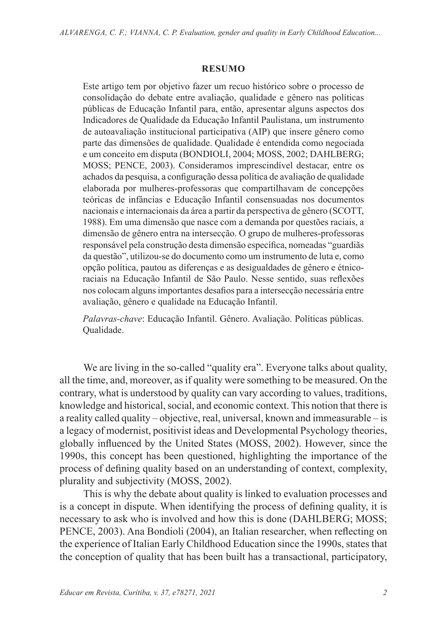#### **RESUMO**

Este artigo tem por objetivo fazer um recuo histórico sobre o processo de consolidação do debate entre avaliação, qualidade e gênero nas políticas públicas de Educação Infantil para, então, apresentar alguns aspectos dos Indicadores de Qualidade da Educação Infantil Paulistana, um instrumento de autoavaliação institucional participativa (AIP) que insere gênero como parte das dimensões de qualidade. Qualidade é entendida como negociada e um conceito em disputa (BONDIOLI, 2004; MOSS, 2002; DAHLBERG; MOSS; PENCE, 2003). Consideramos imprescindível destacar, entre os achados da pesquisa, a configuração dessa política de avaliação de qualidade elaborada por mulheres-professoras que compartilhavam de concepções teóricas de infâncias e Educação Infantil consensuadas nos documentos nacionais e internacionais da área a partir da perspectiva de gênero (SCOTT, 1988). Em uma dimensão que nasce com a demanda por questões raciais, a dimensão de gênero entra na intersecção. O grupo de mulheres-professoras responsável pela construção desta dimensão específica, nomeadas "guardiãs da questão", utilizou-se do documento como um instrumento de luta e, como opção política, pautou as diferenças e as desigualdades de gênero e étnicoraciais na Educação Infantil de São Paulo. Nesse sentido, suas reflexões nos colocam alguns importantes desafios para a intersecção necessária entre avaliação, gênero e qualidade na Educação Infantil.

*Palavras-chave*: Educação Infantil. Gênero. Avaliação. Políticas públicas. Qualidade.

We are living in the so-called "quality era". Everyone talks about quality, all the time, and, moreover, as if quality were something to be measured. On the contrary, what is understood by quality can vary according to values, traditions, knowledge and historical, social, and economic context. This notion that there is a reality called quality – objective, real, universal, known and immeasurable – is a legacy of modernist, positivist ideas and Developmental Psychology theories, globally influenced by the United States (MOSS, 2002). However, since the 1990s, this concept has been questioned, highlighting the importance of the process of defining quality based on an understanding of context, complexity, plurality and subjectivity (MOSS, 2002).

This is why the debate about quality is linked to evaluation processes and is a concept in dispute. When identifying the process of defining quality, it is necessary to ask who is involved and how this is done (DAHLBERG; MOSS; PENCE, 2003). Ana Bondioli (2004), an Italian researcher, when reflecting on the experience of Italian Early Childhood Education since the 1990s, states that the conception of quality that has been built has a transactional, participatory,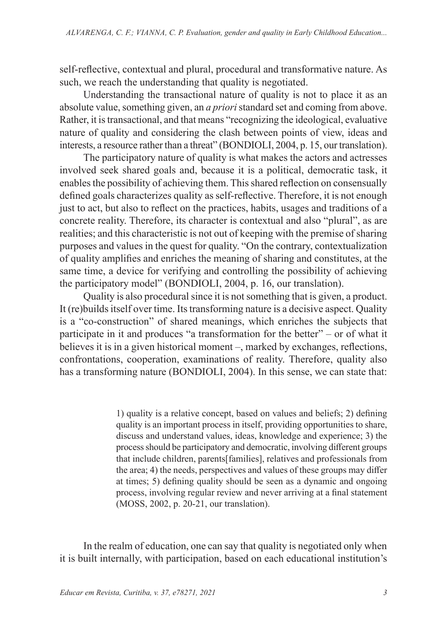self-reflective, contextual and plural, procedural and transformative nature. As such, we reach the understanding that quality is negotiated.

Understanding the transactional nature of quality is not to place it as an absolute value, something given, an *a priori* standard set and coming from above. Rather, it is transactional, and that means "recognizing the ideological, evaluative nature of quality and considering the clash between points of view, ideas and interests, a resource rather than a threat" (BONDIOLI, 2004, p. 15, our translation).

The participatory nature of quality is what makes the actors and actresses involved seek shared goals and, because it is a political, democratic task, it enables the possibility of achieving them. This shared reflection on consensually defined goals characterizes quality as self-reflective. Therefore, it is not enough just to act, but also to reflect on the practices, habits, usages and traditions of a concrete reality. Therefore, its character is contextual and also "plural", as are realities; and this characteristic is not out of keeping with the premise of sharing purposes and values in the quest for quality. "On the contrary, contextualization of quality amplifies and enriches the meaning of sharing and constitutes, at the same time, a device for verifying and controlling the possibility of achieving the participatory model" (BONDIOLI, 2004, p. 16, our translation).

Quality is also procedural since it is not something that is given, a product. It (re)builds itself over time. Its transforming nature is a decisive aspect. Quality is a "co-construction" of shared meanings, which enriches the subjects that participate in it and produces "a transformation for the better" – or of what it believes it is in a given historical moment –, marked by exchanges, reflections, confrontations, cooperation, examinations of reality. Therefore, quality also has a transforming nature (BONDIOLI, 2004). In this sense, we can state that:

> 1) quality is a relative concept, based on values and beliefs; 2) defining quality is an important process in itself, providing opportunities to share, discuss and understand values, ideas, knowledge and experience; 3) the process should be participatory and democratic, involving different groups that include children, parents[families], relatives and professionals from the area; 4) the needs, perspectives and values of these groups may differ at times; 5) defining quality should be seen as a dynamic and ongoing process, involving regular review and never arriving at a final statement (MOSS, 2002, p. 20-21, our translation).

In the realm of education, one can say that quality is negotiated only when it is built internally, with participation, based on each educational institution's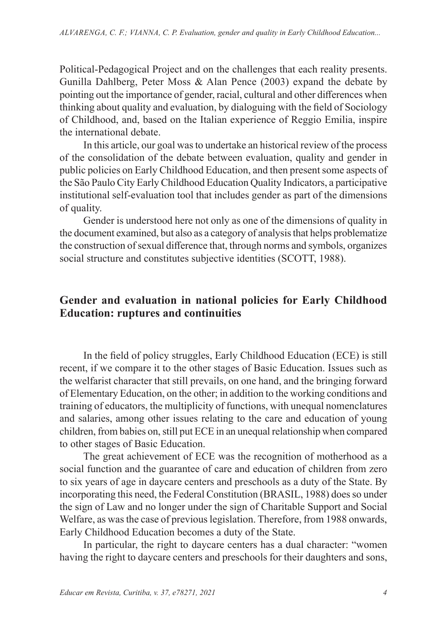Political-Pedagogical Project and on the challenges that each reality presents. Gunilla Dahlberg, Peter Moss & Alan Pence (2003) expand the debate by pointing out the importance of gender, racial, cultural and other differences when thinking about quality and evaluation, by dialoguing with the field of Sociology of Childhood, and, based on the Italian experience of Reggio Emilia, inspire the international debate.

In this article, our goal was to undertake an historical review of the process of the consolidation of the debate between evaluation, quality and gender in public policies on Early Childhood Education, and then present some aspects of the São Paulo City Early Childhood Education Quality Indicators, a participative institutional self-evaluation tool that includes gender as part of the dimensions of quality.

Gender is understood here not only as one of the dimensions of quality in the document examined, but also as a category of analysis that helps problematize the construction of sexual difference that, through norms and symbols, organizes social structure and constitutes subjective identities (SCOTT, 1988).

## **Gender and evaluation in national policies for Early Childhood Education: ruptures and continuities**

In the field of policy struggles, Early Childhood Education (ECE) is still recent, if we compare it to the other stages of Basic Education. Issues such as the welfarist character that still prevails, on one hand, and the bringing forward of Elementary Education, on the other; in addition to the working conditions and training of educators, the multiplicity of functions, with unequal nomenclatures and salaries, among other issues relating to the care and education of young children, from babies on, still put ECE in an unequal relationship when compared to other stages of Basic Education.

The great achievement of ECE was the recognition of motherhood as a social function and the guarantee of care and education of children from zero to six years of age in daycare centers and preschools as a duty of the State. By incorporating this need, the Federal Constitution (BRASIL, 1988) does so under the sign of Law and no longer under the sign of Charitable Support and Social Welfare, as was the case of previous legislation. Therefore, from 1988 onwards, Early Childhood Education becomes a duty of the State.

In particular, the right to daycare centers has a dual character: "women having the right to daycare centers and preschools for their daughters and sons,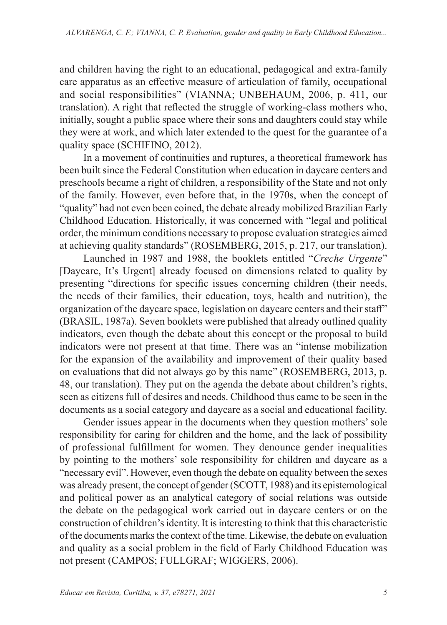and children having the right to an educational, pedagogical and extra-family care apparatus as an effective measure of articulation of family, occupational and social responsibilities" (VIANNA; UNBEHAUM, 2006, p. 411, our translation). A right that reflected the struggle of working-class mothers who, initially, sought a public space where their sons and daughters could stay while they were at work, and which later extended to the quest for the guarantee of a quality space (SCHIFINO, 2012).

In a movement of continuities and ruptures, a theoretical framework has been built since the Federal Constitution when education in daycare centers and preschools became a right of children, a responsibility of the State and not only of the family. However, even before that, in the 1970s, when the concept of "quality" had not even been coined, the debate already mobilized Brazilian Early Childhood Education. Historically, it was concerned with "legal and political order, the minimum conditions necessary to propose evaluation strategies aimed at achieving quality standards" (ROSEMBERG, 2015, p. 217, our translation).

Launched in 1987 and 1988, the booklets entitled "*Creche Urgente*" [Daycare, It's Urgent] already focused on dimensions related to quality by presenting "directions for specific issues concerning children (their needs, the needs of their families, their education, toys, health and nutrition), the organization of the daycare space, legislation on daycare centers and their staff" (BRASIL, 1987a). Seven booklets were published that already outlined quality indicators, even though the debate about this concept or the proposal to build indicators were not present at that time. There was an "intense mobilization for the expansion of the availability and improvement of their quality based on evaluations that did not always go by this name" (ROSEMBERG, 2013, p. 48, our translation). They put on the agenda the debate about children's rights, seen as citizens full of desires and needs. Childhood thus came to be seen in the documents as a social category and daycare as a social and educational facility.

Gender issues appear in the documents when they question mothers' sole responsibility for caring for children and the home, and the lack of possibility of professional fulfillment for women. They denounce gender inequalities by pointing to the mothers' sole responsibility for children and daycare as a "necessary evil". However, even though the debate on equality between the sexes was already present, the concept of gender (SCOTT, 1988) and its epistemological and political power as an analytical category of social relations was outside the debate on the pedagogical work carried out in daycare centers or on the construction of children's identity. It is interesting to think that this characteristic of the documents marks the context of the time. Likewise, the debate on evaluation and quality as a social problem in the field of Early Childhood Education was not present (CAMPOS; FULLGRAF; WIGGERS, 2006).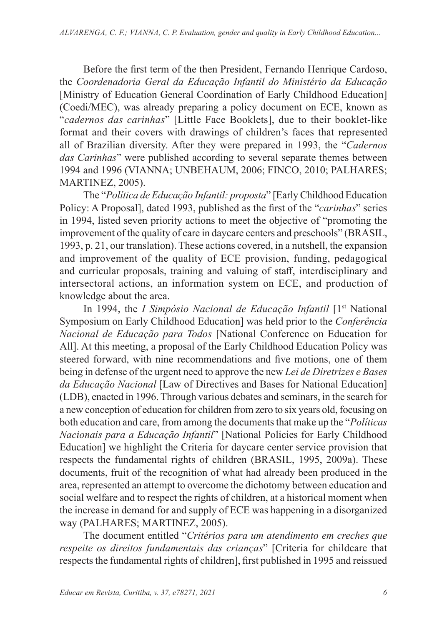Before the first term of the then President, Fernando Henrique Cardoso, the *Coordenadoria Geral da Educação Infantil do Ministério da Educação* [Ministry of Education General Coordination of Early Childhood Education] (Coedi/MEC), was already preparing a policy document on ECE, known as "*cadernos das carinhas*" [Little Face Booklets], due to their booklet-like format and their covers with drawings of children's faces that represented all of Brazilian diversity. After they were prepared in 1993, the "*Cadernos das Carinhas*" were published according to several separate themes between 1994 and 1996 (VIANNA; UNBEHAUM, 2006; FINCO, 2010; PALHARES; MARTINEZ, 2005).

The "*Política de Educação Infantil: proposta*" [Early Childhood Education Policy: A Proposal], dated 1993, published as the first of the "*carinhas*" series in 1994, listed seven priority actions to meet the objective of "promoting the improvement of the quality of care in daycare centers and preschools" (BRASIL, 1993, p. 21, our translation). These actions covered, in a nutshell, the expansion and improvement of the quality of ECE provision, funding, pedagogical and curricular proposals, training and valuing of staff, interdisciplinary and intersectoral actions, an information system on ECE, and production of knowledge about the area.

In 1994, the *I Simpósio Nacional de Educação Infantil* [1<sup>st</sup> National Symposium on Early Childhood Education] was held prior to the *Conferência Nacional de Educação para Todos* [National Conference on Education for All]. At this meeting, a proposal of the Early Childhood Education Policy was steered forward, with nine recommendations and five motions, one of them being in defense of the urgent need to approve the new *Lei de Diretrizes e Bases da Educação Nacional* [Law of Directives and Bases for National Education] (LDB), enacted in 1996. Through various debates and seminars, in the search for a new conception of education for children from zero to six years old, focusing on both education and care, from among the documents that make up the "*Políticas Nacionais para a Educação Infantil*" [National Policies for Early Childhood Education] we highlight the Criteria for daycare center service provision that respects the fundamental rights of children (BRASIL, 1995, 2009a). These documents, fruit of the recognition of what had already been produced in the area, represented an attempt to overcome the dichotomy between education and social welfare and to respect the rights of children, at a historical moment when the increase in demand for and supply of ECE was happening in a disorganized way (PALHARES; MARTINEZ, 2005).

The document entitled "*Critérios para um atendimento em creches que respeite os direitos fundamentais das crianças*" [Criteria for childcare that respects the fundamental rights of children], first published in 1995 and reissued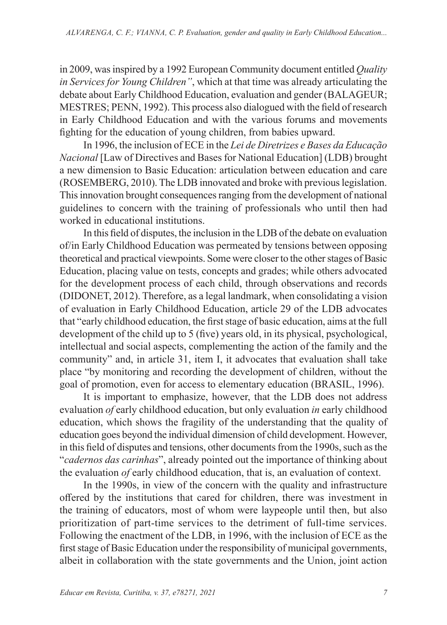in 2009, was inspired by a 1992 European Community document entitled *Quality in Services for Young Children"*, which at that time was already articulating the debate about Early Childhood Education, evaluation and gender (BALAGEUR; MESTRES; PENN, 1992). This process also dialogued with the field of research in Early Childhood Education and with the various forums and movements fighting for the education of young children, from babies upward.

In 1996, the inclusion of ECE in the *Lei de Diretrizes e Bases da Educação Nacional* [Law of Directives and Bases for National Education] (LDB) brought a new dimension to Basic Education: articulation between education and care (ROSEMBERG, 2010). The LDB innovated and broke with previous legislation. This innovation brought consequences ranging from the development of national guidelines to concern with the training of professionals who until then had worked in educational institutions.

In this field of disputes, the inclusion in the LDB of the debate on evaluation of/in Early Childhood Education was permeated by tensions between opposing theoretical and practical viewpoints. Some were closer to the other stages of Basic Education, placing value on tests, concepts and grades; while others advocated for the development process of each child, through observations and records (DIDONET, 2012). Therefore, as a legal landmark, when consolidating a vision of evaluation in Early Childhood Education, article 29 of the LDB advocates that "early childhood education, the first stage of basic education, aims at the full development of the child up to 5 (five) years old, in its physical, psychological, intellectual and social aspects, complementing the action of the family and the community" and, in article 31, item I, it advocates that evaluation shall take place "by monitoring and recording the development of children, without the goal of promotion, even for access to elementary education (BRASIL, 1996).

It is important to emphasize, however, that the LDB does not address evaluation *of* early childhood education, but only evaluation *in* early childhood education, which shows the fragility of the understanding that the quality of education goes beyond the individual dimension of child development. However, in this field of disputes and tensions, other documents from the 1990s, such as the "*cadernos das carinhas*", already pointed out the importance of thinking about the evaluation *of* early childhood education, that is, an evaluation of context.

In the 1990s, in view of the concern with the quality and infrastructure offered by the institutions that cared for children, there was investment in the training of educators, most of whom were laypeople until then, but also prioritization of part-time services to the detriment of full-time services. Following the enactment of the LDB, in 1996, with the inclusion of ECE as the first stage of Basic Education under the responsibility of municipal governments, albeit in collaboration with the state governments and the Union, joint action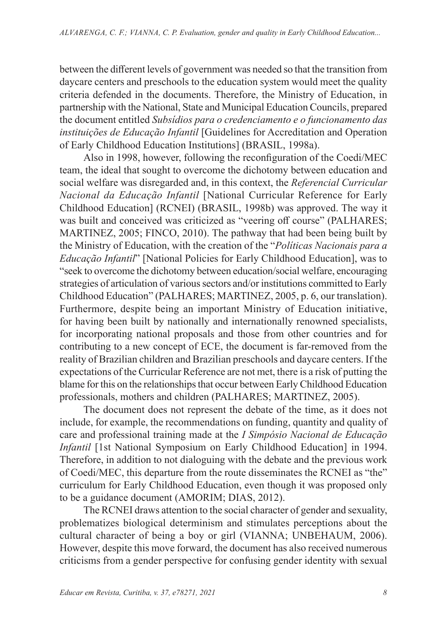between the different levels of government was needed so that the transition from daycare centers and preschools to the education system would meet the quality criteria defended in the documents. Therefore, the Ministry of Education, in partnership with the National, State and Municipal Education Councils, prepared the document entitled *Subsídios para o credenciamento e o funcionamento das instituições de Educação Infantil* [Guidelines for Accreditation and Operation of Early Childhood Education Institutions] (BRASIL, 1998a).

Also in 1998, however, following the reconfiguration of the Coedi/MEC team, the ideal that sought to overcome the dichotomy between education and social welfare was disregarded and, in this context, the *Referencial Curricular Nacional da Educação Infantil* [National Curricular Reference for Early Childhood Education] (RCNEI) (BRASIL, 1998b) was approved. The way it was built and conceived was criticized as "veering off course" (PALHARES; MARTINEZ, 2005; FINCO, 2010). The pathway that had been being built by the Ministry of Education, with the creation of the "*Políticas Nacionais para a Educação Infantil*" [National Policies for Early Childhood Education], was to "seek to overcome the dichotomy between education/social welfare, encouraging strategies of articulation of various sectors and/or institutions committed to Early Childhood Education" (PALHARES; MARTINEZ, 2005, p. 6, our translation). Furthermore, despite being an important Ministry of Education initiative, for having been built by nationally and internationally renowned specialists, for incorporating national proposals and those from other countries and for contributing to a new concept of ECE, the document is far-removed from the reality of Brazilian children and Brazilian preschools and daycare centers. If the expectations of the Curricular Reference are not met, there is a risk of putting the blame for this on the relationships that occur between Early Childhood Education professionals, mothers and children (PALHARES; MARTINEZ, 2005).

The document does not represent the debate of the time, as it does not include, for example, the recommendations on funding, quantity and quality of care and professional training made at the *I Simpósio Nacional de Educação Infantil* [1st National Symposium on Early Childhood Education] in 1994. Therefore, in addition to not dialoguing with the debate and the previous work of Coedi/MEC, this departure from the route disseminates the RCNEI as "the" curriculum for Early Childhood Education, even though it was proposed only to be a guidance document (AMORIM; DIAS, 2012).

The RCNEI draws attention to the social character of gender and sexuality, problematizes biological determinism and stimulates perceptions about the cultural character of being a boy or girl (VIANNA; UNBEHAUM, 2006). However, despite this move forward, the document has also received numerous criticisms from a gender perspective for confusing gender identity with sexual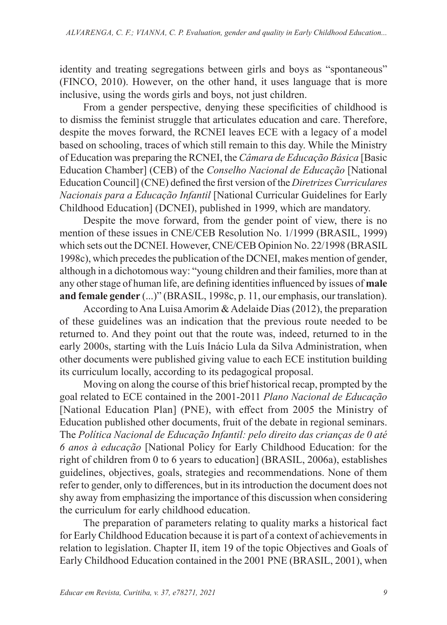identity and treating segregations between girls and boys as "spontaneous" (FINCO, 2010). However, on the other hand, it uses language that is more inclusive, using the words girls and boys, not just children.

From a gender perspective, denying these specificities of childhood is to dismiss the feminist struggle that articulates education and care. Therefore, despite the moves forward, the RCNEI leaves ECE with a legacy of a model based on schooling, traces of which still remain to this day. While the Ministry of Education was preparing the RCNEI, the *Câmara de Educação Básica* [Basic Education Chamber] (CEB) of the *Conselho Nacional de Educação* [National Education Council] (CNE) defined the first version of the *Diretrizes Curriculares Nacionais para a Educação Infantil* [National Curricular Guidelines for Early Childhood Education] (DCNEI), published in 1999, which are mandatory.

Despite the move forward, from the gender point of view, there is no mention of these issues in CNE/CEB Resolution No. 1/1999 (BRASIL, 1999) which sets out the DCNEI. However, CNE/CEB Opinion No. 22/1998 (BRASIL 1998c), which precedes the publication of the DCNEI, makes mention of gender, although in a dichotomous way: "young children and their families, more than at any other stage of human life, are defining identities influenced by issues of **male and female gender** (...)" (BRASIL, 1998c, p. 11, our emphasis, our translation).

According to Ana Luisa Amorim & Adelaide Dias (2012), the preparation of these guidelines was an indication that the previous route needed to be returned to. And they point out that the route was, indeed, returned to in the early 2000s, starting with the Luís Inácio Lula da Silva Administration, when other documents were published giving value to each ECE institution building its curriculum locally, according to its pedagogical proposal.

Moving on along the course of this brief historical recap, prompted by the goal related to ECE contained in the 2001-2011 *Plano Nacional de Educação*  [National Education Plan] (PNE), with effect from 2005 the Ministry of Education published other documents, fruit of the debate in regional seminars. The *Política Nacional de Educação Infantil: pelo direito das crianças de 0 até 6 anos à educação* [National Policy for Early Childhood Education: for the right of children from 0 to 6 years to education] (BRASIL, 2006a), establishes guidelines, objectives, goals, strategies and recommendations. None of them refer to gender, only to differences, but in its introduction the document does not shy away from emphasizing the importance of this discussion when considering the curriculum for early childhood education.

The preparation of parameters relating to quality marks a historical fact for Early Childhood Education because it is part of a context of achievements in relation to legislation. Chapter II, item 19 of the topic Objectives and Goals of Early Childhood Education contained in the 2001 PNE (BRASIL, 2001), when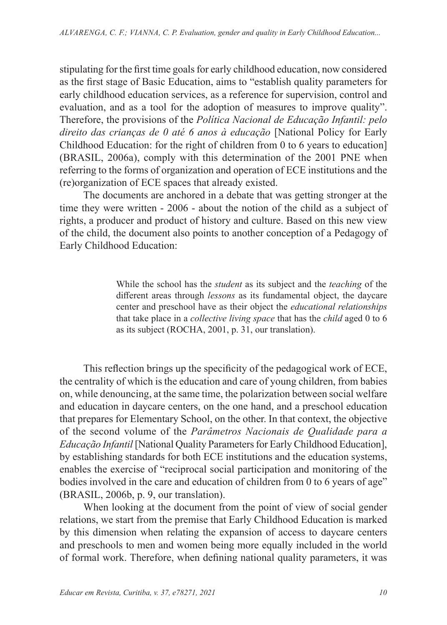stipulating for the first time goals for early childhood education, now considered as the first stage of Basic Education, aims to "establish quality parameters for early childhood education services, as a reference for supervision, control and evaluation, and as a tool for the adoption of measures to improve quality". Therefore, the provisions of the *Política Nacional de Educação Infantil: pelo direito das crianças de 0 até 6 anos à educação* [National Policy for Early Childhood Education: for the right of children from 0 to 6 years to education] (BRASIL, 2006a), comply with this determination of the 2001 PNE when referring to the forms of organization and operation of ECE institutions and the (re)organization of ECE spaces that already existed.

The documents are anchored in a debate that was getting stronger at the time they were written - 2006 - about the notion of the child as a subject of rights, a producer and product of history and culture. Based on this new view of the child, the document also points to another conception of a Pedagogy of Early Childhood Education:

> While the school has the *student* as its subject and the *teaching* of the different areas through *lessons* as its fundamental object, the daycare center and preschool have as their object the *educational relationships* that take place in a *collective living space* that has the *child* aged 0 to 6 as its subject (ROCHA, 2001, p. 31, our translation).

This reflection brings up the specificity of the pedagogical work of ECE, the centrality of which is the education and care of young children, from babies on, while denouncing, at the same time, the polarization between social welfare and education in daycare centers, on the one hand, and a preschool education that prepares for Elementary School, on the other. In that context, the objective of the second volume of the *Parâmetros Nacionais de Qualidade para a Educação Infantil* [National Quality Parameters for Early Childhood Education], by establishing standards for both ECE institutions and the education systems, enables the exercise of "reciprocal social participation and monitoring of the bodies involved in the care and education of children from 0 to 6 years of age" (BRASIL, 2006b, p. 9, our translation).

When looking at the document from the point of view of social gender relations, we start from the premise that Early Childhood Education is marked by this dimension when relating the expansion of access to daycare centers and preschools to men and women being more equally included in the world of formal work. Therefore, when defining national quality parameters, it was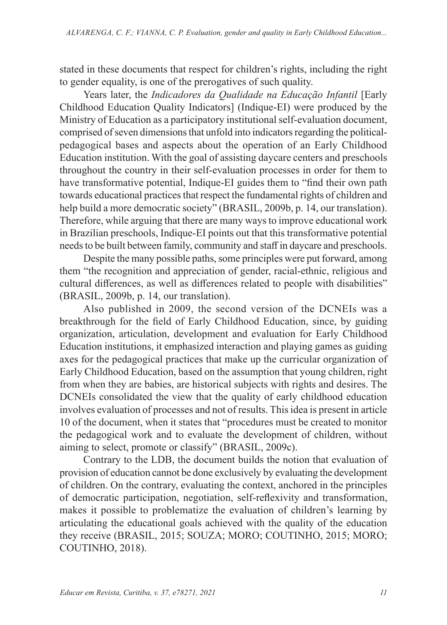stated in these documents that respect for children's rights, including the right to gender equality, is one of the prerogatives of such quality.

Years later, the *Indicadores da Qualidade na Educação Infantil* [Early Childhood Education Quality Indicators] (Indique-EI) were produced by the Ministry of Education as a participatory institutional self-evaluation document, comprised of seven dimensions that unfold into indicators regarding the politicalpedagogical bases and aspects about the operation of an Early Childhood Education institution. With the goal of assisting daycare centers and preschools throughout the country in their self-evaluation processes in order for them to have transformative potential, Indique-EI guides them to "find their own path towards educational practices that respect the fundamental rights of children and help build a more democratic society" (BRASIL, 2009b, p. 14, our translation). Therefore, while arguing that there are many ways to improve educational work in Brazilian preschools, Indique-EI points out that this transformative potential needs to be built between family, community and staff in daycare and preschools.

Despite the many possible paths, some principles were put forward, among them "the recognition and appreciation of gender, racial-ethnic, religious and cultural differences, as well as differences related to people with disabilities" (BRASIL, 2009b, p. 14, our translation).

Also published in 2009, the second version of the DCNEIs was a breakthrough for the field of Early Childhood Education, since, by guiding organization, articulation, development and evaluation for Early Childhood Education institutions, it emphasized interaction and playing games as guiding axes for the pedagogical practices that make up the curricular organization of Early Childhood Education, based on the assumption that young children, right from when they are babies, are historical subjects with rights and desires. The DCNEIs consolidated the view that the quality of early childhood education involves evaluation of processes and not of results. This idea is present in article 10 of the document, when it states that "procedures must be created to monitor the pedagogical work and to evaluate the development of children, without aiming to select, promote or classify" (BRASIL, 2009c).

Contrary to the LDB, the document builds the notion that evaluation of provision of education cannot be done exclusively by evaluating the development of children. On the contrary, evaluating the context, anchored in the principles of democratic participation, negotiation, self-reflexivity and transformation, makes it possible to problematize the evaluation of children's learning by articulating the educational goals achieved with the quality of the education they receive (BRASIL, 2015; SOUZA; MORO; COUTINHO, 2015; MORO; COUTINHO, 2018).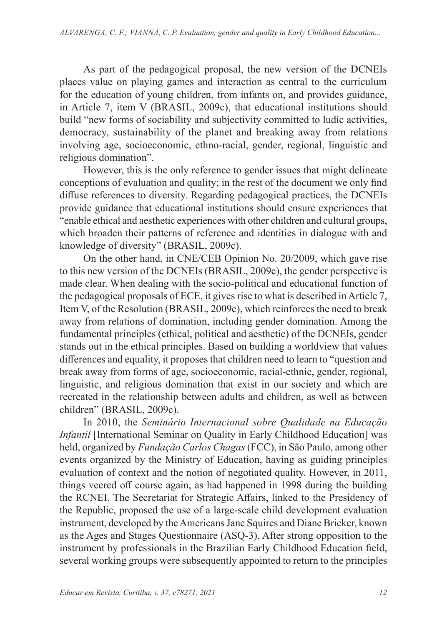As part of the pedagogical proposal, the new version of the DCNEIs places value on playing games and interaction as central to the curriculum for the education of young children, from infants on, and provides guidance, in Article 7, item V (BRASIL, 2009c), that educational institutions should build "new forms of sociability and subjectivity committed to ludic activities, democracy, sustainability of the planet and breaking away from relations involving age, socioeconomic, ethno-racial, gender, regional, linguistic and religious domination".

However, this is the only reference to gender issues that might delineate conceptions of evaluation and quality; in the rest of the document we only find diffuse references to diversity. Regarding pedagogical practices, the DCNEIs provide guidance that educational institutions should ensure experiences that "enable ethical and aesthetic experiences with other children and cultural groups, which broaden their patterns of reference and identities in dialogue with and knowledge of diversity" (BRASIL, 2009c).

On the other hand, in CNE/CEB Opinion No. 20/2009, which gave rise to this new version of the DCNEIs (BRASIL, 2009c), the gender perspective is made clear. When dealing with the socio-political and educational function of the pedagogical proposals of ECE, it gives rise to what is described in Article 7, Item V, of the Resolution (BRASIL, 2009c), which reinforces the need to break away from relations of domination, including gender domination. Among the fundamental principles (ethical, political and aesthetic) of the DCNEIs, gender stands out in the ethical principles. Based on building a worldview that values differences and equality, it proposes that children need to learn to "question and break away from forms of age, socioeconomic, racial-ethnic, gender, regional, linguistic, and religious domination that exist in our society and which are recreated in the relationship between adults and children, as well as between children" (BRASIL, 2009c).

In 2010, the *Seminário Internacional sobre Qualidade na Educação Infantil* [International Seminar on Quality in Early Childhood Education] was held, organized by *Fundação Carlos Chagas* (FCC), in São Paulo, among other events organized by the Ministry of Education, having as guiding principles evaluation of context and the notion of negotiated quality. However, in 2011, things veered off course again, as had happened in 1998 during the building the RCNEI. The Secretariat for Strategic Affairs, linked to the Presidency of the Republic, proposed the use of a large-scale child development evaluation instrument, developed by the Americans Jane Squires and Diane Bricker, known as the Ages and Stages Questionnaire (ASQ-3). After strong opposition to the instrument by professionals in the Brazilian Early Childhood Education field, several working groups were subsequently appointed to return to the principles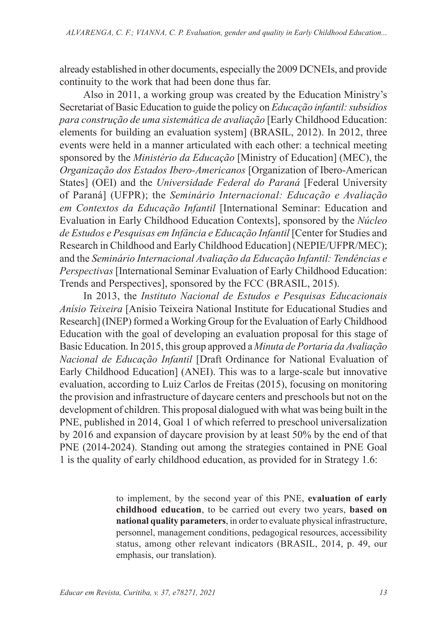already established in other documents, especially the 2009 DCNEIs, and provide continuity to the work that had been done thus far.

Also in 2011, a working group was created by the Education Ministry's Secretariat of Basic Education to guide the policy on *Educação infantil: subsídios para construção de uma sistemática de avaliação* [Early Childhood Education: elements for building an evaluation system] (BRASIL, 2012). In 2012, three events were held in a manner articulated with each other: a technical meeting sponsored by the *Ministério da Educação* [Ministry of Education] (MEC), the *Organização dos Estados Ibero-Americanos* [Organization of Ibero-American States] (OEI) and the *Universidade Federal do Paraná* [Federal University of Paraná] (UFPR); the *Seminário Internacional: Educação e Avaliação em Contextos da Educação Infantil* [International Seminar: Education and Evaluation in Early Childhood Education Contexts], sponsored by the *Núcleo de Estudos e Pesquisas em Infância e Educação Infantil* [Center for Studies and Research in Childhood and Early Childhood Education] (NEPIE/UFPR/MEC); and the *Seminário Internacional Avaliação da Educação Infantil: Tendências e Perspectivas* [International Seminar Evaluation of Early Childhood Education: Trends and Perspectives], sponsored by the FCC (BRASIL, 2015).

In 2013, the *Instituto Nacional de Estudos e Pesquisas Educacionais Anísio Teixeira* [Anísio Teixeira National Institute for Educational Studies and Research] (INEP) formed a Working Group for the Evaluation of Early Childhood Education with the goal of developing an evaluation proposal for this stage of Basic Education. In 2015, this group approved a *Minuta de Portaria da Avaliação Nacional de Educação Infantil* [Draft Ordinance for National Evaluation of Early Childhood Education] (ANEI). This was to a large-scale but innovative evaluation, according to Luiz Carlos de Freitas (2015), focusing on monitoring the provision and infrastructure of daycare centers and preschools but not on the development of children. This proposal dialogued with what was being built in the PNE, published in 2014, Goal 1 of which referred to preschool universalization by 2016 and expansion of daycare provision by at least 50% by the end of that PNE (2014-2024). Standing out among the strategies contained in PNE Goal 1 is the quality of early childhood education, as provided for in Strategy 1.6:

> to implement, by the second year of this PNE, **evaluation of early childhood education**, to be carried out every two years, **based on national quality parameters**, in order to evaluate physical infrastructure, personnel, management conditions, pedagogical resources, accessibility status, among other relevant indicators (BRASIL, 2014, p. 49, our emphasis, our translation).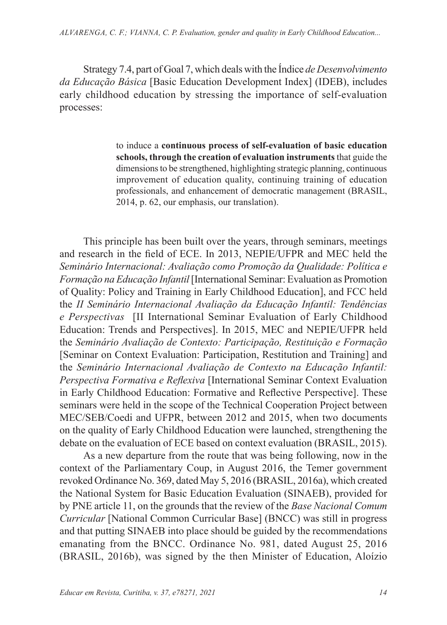Strategy 7.4, part of Goal 7, which deals with the Índice *de Desenvolvimento da Educação Básica* [Basic Education Development Index] (IDEB), includes early childhood education by stressing the importance of self-evaluation processes:

> to induce a **continuous process of self-evaluation of basic education schools, through the creation of evaluation instruments** that guide the dimensions to be strengthened, highlighting strategic planning, continuous improvement of education quality, continuing training of education professionals, and enhancement of democratic management (BRASIL, 2014, p. 62, our emphasis, our translation).

This principle has been built over the years, through seminars, meetings and research in the field of ECE. In 2013, NEPIE/UFPR and MEC held the *Seminário Internacional: Avaliação como Promoção da Qualidade: Política e Formação na Educação Infantil* [International Seminar: Evaluation as Promotion of Quality: Policy and Training in Early Childhood Education], and FCC held the *II Seminário Internacional Avaliação da Educação Infantil: Tendências e Perspectivas* [II International Seminar Evaluation of Early Childhood Education: Trends and Perspectives]. In 2015, MEC and NEPIE/UFPR held the *Seminário Avaliação de Contexto: Participação, Restituição e Formação* [Seminar on Context Evaluation: Participation, Restitution and Training] and the *Seminário Internacional Avaliação de Contexto na Educação Infantil: Perspectiva Formativa e Reflexiva* [International Seminar Context Evaluation in Early Childhood Education: Formative and Reflective Perspective]. These seminars were held in the scope of the Technical Cooperation Project between MEC/SEB/Coedi and UFPR, between 2012 and 2015, when two documents on the quality of Early Childhood Education were launched, strengthening the debate on the evaluation of ECE based on context evaluation (BRASIL, 2015).

As a new departure from the route that was being following, now in the context of the Parliamentary Coup, in August 2016, the Temer government revoked Ordinance No. 369, dated May 5, 2016 (BRASIL, 2016a), which created the National System for Basic Education Evaluation (SINAEB), provided for by PNE article 11, on the grounds that the review of the *Base Nacional Comum Curricular* [National Common Curricular Base] (BNCC) was still in progress and that putting SINAEB into place should be guided by the recommendations emanating from the BNCC. Ordinance No. 981, dated August 25, 2016 (BRASIL, 2016b), was signed by the then Minister of Education, Aloízio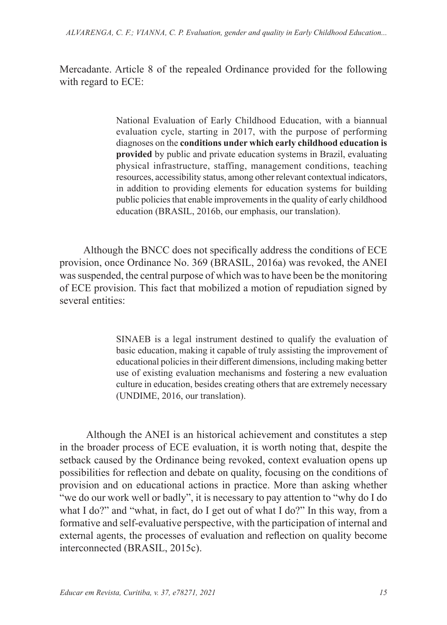Mercadante. Article 8 of the repealed Ordinance provided for the following with regard to ECE:

> National Evaluation of Early Childhood Education, with a biannual evaluation cycle, starting in 2017, with the purpose of performing diagnoses on the **conditions under which early childhood education is provided** by public and private education systems in Brazil, evaluating physical infrastructure, staffing, management conditions, teaching resources, accessibility status, among other relevant contextual indicators, in addition to providing elements for education systems for building public policies that enable improvements in the quality of early childhood education (BRASIL, 2016b, our emphasis, our translation).

Although the BNCC does not specifically address the conditions of ECE provision, once Ordinance No. 369 (BRASIL, 2016a) was revoked, the ANEI was suspended, the central purpose of which was to have been be the monitoring of ECE provision. This fact that mobilized a motion of repudiation signed by several entities:

> SINAEB is a legal instrument destined to qualify the evaluation of basic education, making it capable of truly assisting the improvement of educational policies in their different dimensions, including making better use of existing evaluation mechanisms and fostering a new evaluation culture in education, besides creating others that are extremely necessary (UNDIME, 2016, our translation).

 Although the ANEI is an historical achievement and constitutes a step in the broader process of ECE evaluation, it is worth noting that, despite the setback caused by the Ordinance being revoked, context evaluation opens up possibilities for reflection and debate on quality, focusing on the conditions of provision and on educational actions in practice. More than asking whether "we do our work well or badly", it is necessary to pay attention to "why do I do what I do?" and "what, in fact, do I get out of what I do?" In this way, from a formative and self-evaluative perspective, with the participation of internal and external agents, the processes of evaluation and reflection on quality become interconnected (BRASIL, 2015c).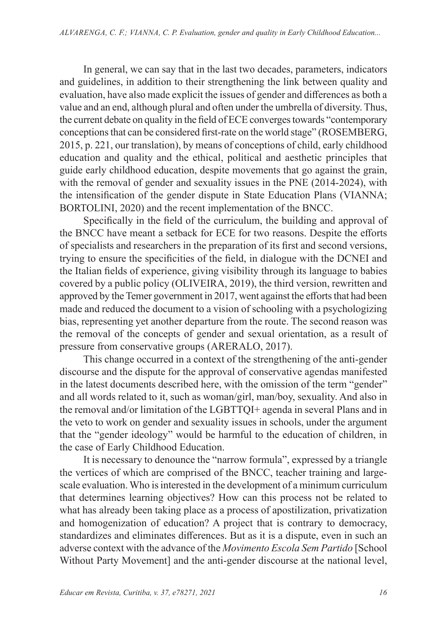In general, we can say that in the last two decades, parameters, indicators and guidelines, in addition to their strengthening the link between quality and evaluation, have also made explicit the issues of gender and differences as both a value and an end, although plural and often under the umbrella of diversity. Thus, the current debate on quality in the field of ECE converges towards "contemporary conceptions that can be considered first-rate on the world stage" (ROSEMBERG, 2015, p. 221, our translation), by means of conceptions of child, early childhood education and quality and the ethical, political and aesthetic principles that guide early childhood education, despite movements that go against the grain, with the removal of gender and sexuality issues in the PNE (2014-2024), with the intensification of the gender dispute in State Education Plans (VIANNA; BORTOLINI, 2020) and the recent implementation of the BNCC.

Specifically in the field of the curriculum, the building and approval of the BNCC have meant a setback for ECE for two reasons. Despite the efforts of specialists and researchers in the preparation of its first and second versions, trying to ensure the specificities of the field, in dialogue with the DCNEI and the Italian fields of experience, giving visibility through its language to babies covered by a public policy (OLIVEIRA, 2019), the third version, rewritten and approved by the Temer government in 2017, went against the efforts that had been made and reduced the document to a vision of schooling with a psychologizing bias, representing yet another departure from the route. The second reason was the removal of the concepts of gender and sexual orientation, as a result of pressure from conservative groups (ARERALO, 2017).

This change occurred in a context of the strengthening of the anti-gender discourse and the dispute for the approval of conservative agendas manifested in the latest documents described here, with the omission of the term "gender" and all words related to it, such as woman/girl, man/boy, sexuality. And also in the removal and/or limitation of the LGBTTQI+ agenda in several Plans and in the veto to work on gender and sexuality issues in schools, under the argument that the "gender ideology" would be harmful to the education of children, in the case of Early Childhood Education.

It is necessary to denounce the "narrow formula", expressed by a triangle the vertices of which are comprised of the BNCC, teacher training and largescale evaluation. Who is interested in the development of a minimum curriculum that determines learning objectives? How can this process not be related to what has already been taking place as a process of apostilization, privatization and homogenization of education? A project that is contrary to democracy, standardizes and eliminates differences. But as it is a dispute, even in such an adverse context with the advance of the *Movimento Escola Sem Partido* [School Without Party Movement] and the anti-gender discourse at the national level,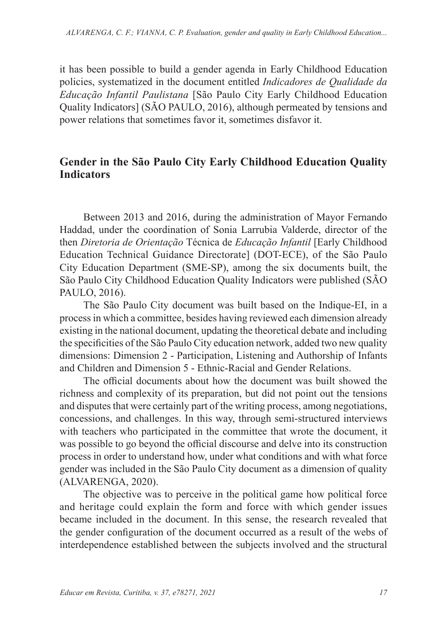it has been possible to build a gender agenda in Early Childhood Education policies, systematized in the document entitled *Indicadores de Qualidade da Educação Infantil Paulistana* [São Paulo City Early Childhood Education Quality Indicators] (SÃO PAULO, 2016), although permeated by tensions and power relations that sometimes favor it, sometimes disfavor it.

### **Gender in the São Paulo City Early Childhood Education Quality Indicators**

Between 2013 and 2016, during the administration of Mayor Fernando Haddad, under the coordination of Sonia Larrubia Valderde, director of the then *Diretoria de Orientação* Técnica de *Educação Infantil* [Early Childhood Education Technical Guidance Directorate] (DOT-ECE), of the São Paulo City Education Department (SME-SP), among the six documents built, the São Paulo City Childhood Education Quality Indicators were published (SÃO PAULO, 2016).

The São Paulo City document was built based on the Indique-EI, in a process in which a committee, besides having reviewed each dimension already existing in the national document, updating the theoretical debate and including the specificities of the São Paulo City education network, added two new quality dimensions: Dimension 2 - Participation, Listening and Authorship of Infants and Children and Dimension 5 - Ethnic-Racial and Gender Relations.

The official documents about how the document was built showed the richness and complexity of its preparation, but did not point out the tensions and disputes that were certainly part of the writing process, among negotiations, concessions, and challenges. In this way, through semi-structured interviews with teachers who participated in the committee that wrote the document, it was possible to go beyond the official discourse and delve into its construction process in order to understand how, under what conditions and with what force gender was included in the São Paulo City document as a dimension of quality (ALVARENGA, 2020).

The objective was to perceive in the political game how political force and heritage could explain the form and force with which gender issues became included in the document. In this sense, the research revealed that the gender configuration of the document occurred as a result of the webs of interdependence established between the subjects involved and the structural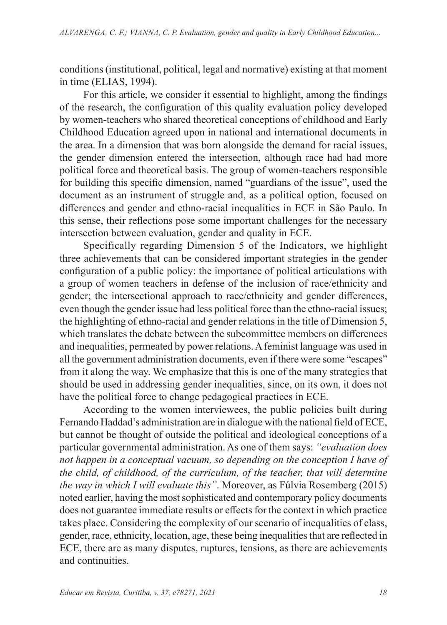conditions (institutional, political, legal and normative) existing at that moment in time (ELIAS, 1994).

For this article, we consider it essential to highlight, among the findings of the research, the configuration of this quality evaluation policy developed by women-teachers who shared theoretical conceptions of childhood and Early Childhood Education agreed upon in national and international documents in the area. In a dimension that was born alongside the demand for racial issues, the gender dimension entered the intersection, although race had had more political force and theoretical basis. The group of women-teachers responsible for building this specific dimension, named "guardians of the issue", used the document as an instrument of struggle and, as a political option, focused on differences and gender and ethno-racial inequalities in ECE in São Paulo. In this sense, their reflections pose some important challenges for the necessary intersection between evaluation, gender and quality in ECE.

Specifically regarding Dimension 5 of the Indicators, we highlight three achievements that can be considered important strategies in the gender configuration of a public policy: the importance of political articulations with a group of women teachers in defense of the inclusion of race/ethnicity and gender; the intersectional approach to race/ethnicity and gender differences, even though the gender issue had less political force than the ethno-racial issues; the highlighting of ethno-racial and gender relations in the title of Dimension 5, which translates the debate between the subcommittee members on differences and inequalities, permeated by power relations. A feminist language was used in all the government administration documents, even if there were some "escapes" from it along the way. We emphasize that this is one of the many strategies that should be used in addressing gender inequalities, since, on its own, it does not have the political force to change pedagogical practices in ECE.

According to the women interviewees, the public policies built during Fernando Haddad's administration are in dialogue with the national field of ECE, but cannot be thought of outside the political and ideological conceptions of a particular governmental administration. As one of them says: *"evaluation does not happen in a conceptual vacuum, so depending on the conception I have of the child, of childhood, of the curriculum, of the teacher, that will determine the way in which I will evaluate this"*. Moreover, as Fúlvia Rosemberg (2015) noted earlier, having the most sophisticated and contemporary policy documents does not guarantee immediate results or effects for the context in which practice takes place. Considering the complexity of our scenario of inequalities of class, gender, race, ethnicity, location, age, these being inequalities that are reflected in ECE, there are as many disputes, ruptures, tensions, as there are achievements and continuities.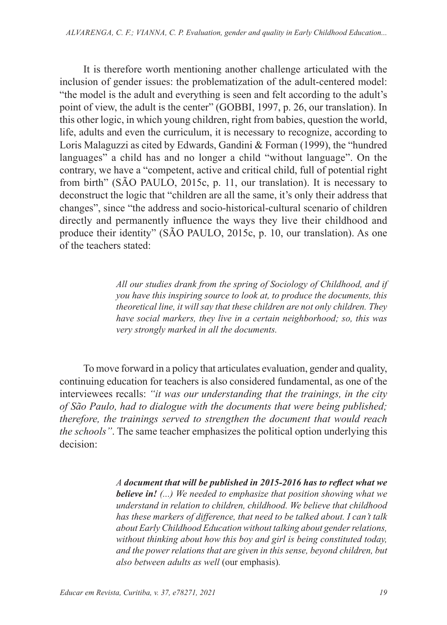It is therefore worth mentioning another challenge articulated with the inclusion of gender issues: the problematization of the adult-centered model: "the model is the adult and everything is seen and felt according to the adult's point of view, the adult is the center" (GOBBI, 1997, p. 26, our translation). In this other logic, in which young children, right from babies, question the world, life, adults and even the curriculum, it is necessary to recognize, according to Loris Malaguzzi as cited by Edwards, Gandini & Forman (1999), the "hundred languages" a child has and no longer a child "without language". On the contrary, we have a "competent, active and critical child, full of potential right from birth" (SÃO PAULO, 2015c, p. 11, our translation). It is necessary to deconstruct the logic that "children are all the same, it's only their address that changes", since "the address and socio-historical-cultural scenario of children directly and permanently influence the ways they live their childhood and produce their identity" (SÃO PAULO, 2015c, p. 10, our translation). As one of the teachers stated:

> *All our studies drank from the spring of Sociology of Childhood, and if you have this inspiring source to look at, to produce the documents, this theoretical line, it will say that these children are not only children. They have social markers, they live in a certain neighborhood; so, this was very strongly marked in all the documents.*

To move forward in a policy that articulates evaluation, gender and quality, continuing education for teachers is also considered fundamental, as one of the interviewees recalls: *"it was our understanding that the trainings, in the city of São Paulo, had to dialogue with the documents that were being published; therefore, the trainings served to strengthen the document that would reach the schools"*. The same teacher emphasizes the political option underlying this decision:

> *A document that will be published in 2015-2016 has to reflect what we believe in! (...) We needed to emphasize that position showing what we understand in relation to children, childhood. We believe that childhood has these markers of difference, that need to be talked about. I can't talk about Early Childhood Education without talking about gender relations, without thinking about how this boy and girl is being constituted today, and the power relations that are given in this sense, beyond children, but also between adults as well* (our emphasis)*.*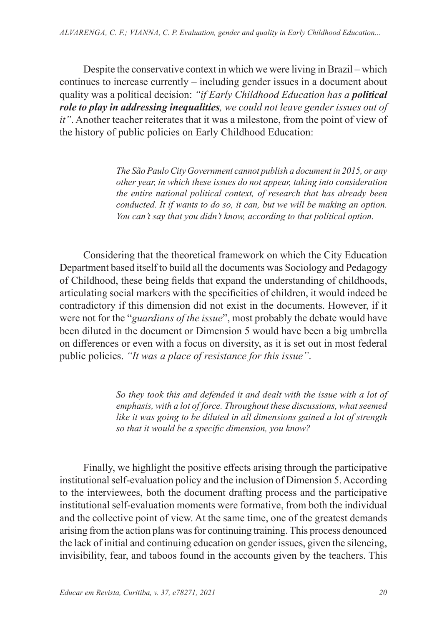Despite the conservative context in which we were living in Brazil – which continues to increase currently – including gender issues in a document about quality was a political decision: *"if Early Childhood Education has a political role to play in addressing inequalities, we could not leave gender issues out of it"*. Another teacher reiterates that it was a milestone, from the point of view of the history of public policies on Early Childhood Education:

> *The São Paulo City Government cannot publish a document in 2015, or any other year, in which these issues do not appear, taking into consideration the entire national political context, of research that has already been conducted. It if wants to do so, it can, but we will be making an option. You can't say that you didn't know, according to that political option.*

Considering that the theoretical framework on which the City Education Department based itself to build all the documents was Sociology and Pedagogy of Childhood, these being fields that expand the understanding of childhoods, articulating social markers with the specificities of children, it would indeed be contradictory if this dimension did not exist in the documents. However, if it were not for the "*guardians of the issue*", most probably the debate would have been diluted in the document or Dimension 5 would have been a big umbrella on differences or even with a focus on diversity, as it is set out in most federal public policies. *"It was a place of resistance for this issue"*.

> *So they took this and defended it and dealt with the issue with a lot of emphasis, with a lot of force. Throughout these discussions, what seemed like it was going to be diluted in all dimensions gained a lot of strength so that it would be a specific dimension, you know?*

Finally, we highlight the positive effects arising through the participative institutional self-evaluation policy and the inclusion of Dimension 5. According to the interviewees, both the document drafting process and the participative institutional self-evaluation moments were formative, from both the individual and the collective point of view. At the same time, one of the greatest demands arising from the action plans was for continuing training. This process denounced the lack of initial and continuing education on gender issues, given the silencing, invisibility, fear, and taboos found in the accounts given by the teachers. This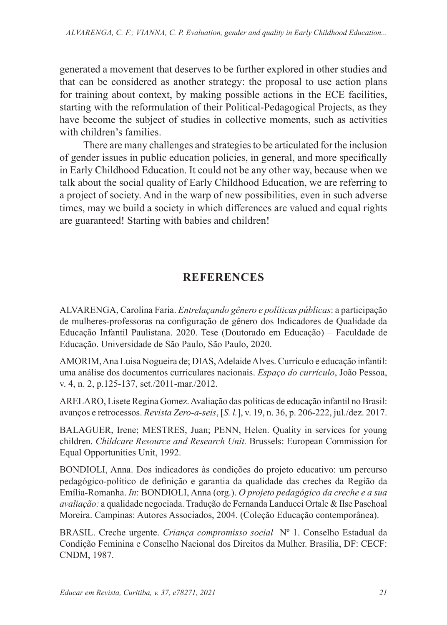generated a movement that deserves to be further explored in other studies and that can be considered as another strategy: the proposal to use action plans for training about context, by making possible actions in the ECE facilities, starting with the reformulation of their Political-Pedagogical Projects, as they have become the subject of studies in collective moments, such as activities with children's families.

There are many challenges and strategies to be articulated for the inclusion of gender issues in public education policies, in general, and more specifically in Early Childhood Education. It could not be any other way, because when we talk about the social quality of Early Childhood Education, we are referring to a project of society. And in the warp of new possibilities, even in such adverse times, may we build a society in which differences are valued and equal rights are guaranteed! Starting with babies and children!

## **REFERENCES**

ALVARENGA, Carolina Faria. *Entrelaçando gênero e políticas públicas*: a participação de mulheres-professoras na configuração de gênero dos Indicadores de Qualidade da Educação Infantil Paulistana. 2020. Tese (Doutorado em Educação) – Faculdade de Educação. Universidade de São Paulo, São Paulo, 2020.

AMORIM, Ana Luisa Nogueira de; DIAS, Adelaide Alves. Currículo e educação infantil: uma análise dos documentos curriculares nacionais. *Espaço do currículo*, João Pessoa, v. 4, n. 2, p.125-137, set./2011-mar./2012.

ARELARO, Lisete Regina Gomez. Avaliação das políticas de educação infantil no Brasil: avanços e retrocessos. *Revista Zero-a-seis*, [*S. l.*], v. 19, n. 36, p. 206-222, jul./dez. 2017.

BALAGUER, Irene; MESTRES, Juan; PENN, Helen. Quality in services for young children. *Childcare Resource and Research Unit.* Brussels: European Commission for Equal Opportunities Unit, 1992.

BONDIOLI, Anna. Dos indicadores às condições do projeto educativo: um percurso pedagógico-político de definição e garantia da qualidade das creches da Região da Emília-Romanha. *In*: BONDIOLI, Anna (org.). *O projeto pedagógico da creche e a sua avaliação:* a qualidade negociada. Tradução de Fernanda Landucci Ortale & Ilse Paschoal Moreira. Campinas: Autores Associados, 2004. (Coleção Educação contemporânea).

BRASIL. Creche urgente. *Criança compromisso social* Nº 1. Conselho Estadual da Condição Feminina e Conselho Nacional dos Direitos da Mulher. Brasília, DF: CECF: CNDM, 1987.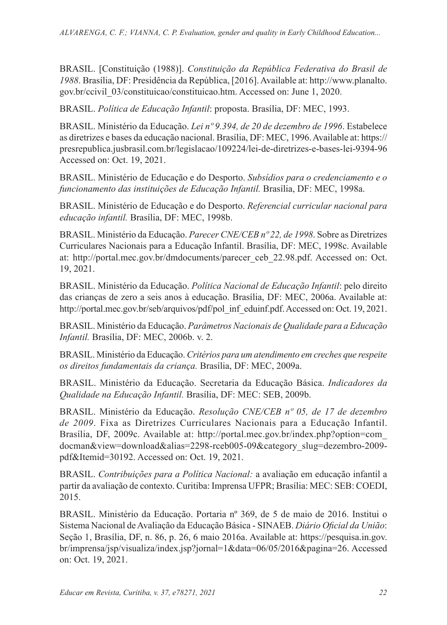BRASIL. [Constituição (1988)]. *Constituição da República Federativa do Brasil de 1988*. Brasília, DF: Presidência da República, [2016]. Available at: http://www.planalto. gov.br/ccivil\_03/constituicao/constituicao.htm. Accessed on: June 1, 2020.

BRASIL. *Política de Educação Infantil*: proposta. Brasília, DF: MEC, 1993.

BRASIL. Ministério da Educação. *Lei nº 9.394, de 20 de dezembro de 1996*. Estabelece as diretrizes e bases da educação nacional. Brasília, DF: MEC, 1996. Available at: https:// presrepublica.jusbrasil.com.br/legislacao/109224/lei-de-diretrizes-e-bases-lei-9394-96 Accessed on: Oct. 19, 2021.

BRASIL. Ministério de Educação e do Desporto. *Subsídios para o credenciamento e o funcionamento das instituições de Educação Infantil.* Brasília, DF: MEC, 1998a.

BRASIL. Ministério de Educação e do Desporto. *Referencial curricular nacional para educação infantil.* Brasília, DF: MEC, 1998b.

BRASIL. Ministério da Educação. *Parecer CNE/CEB nº 22, de 1998*. Sobre as Diretrizes Curriculares Nacionais para a Educação Infantil. Brasília, DF: MEC, 1998c. Available at: http://portal.mec.gov.br/dmdocuments/parecer\_ceb\_22.98.pdf. Accessed on: Oct. 19, 2021.

BRASIL. Ministério da Educação. *Política Nacional de Educação Infantil*: pelo direito das crianças de zero a seis anos à educação. Brasília, DF: MEC, 2006a. Available at: http://portal.mec.gov.br/seb/arquivos/pdf/pol\_inf\_eduinf.pdf. Accessed on: Oct. 19, 2021.

BRASIL. Ministério da Educação. *Parâmetros Nacionais de Qualidade para a Educação Infantil.* Brasília, DF: MEC, 2006b. v. 2.

BRASIL. Ministério da Educação. *Critérios para um atendimento em creches que respeite os direitos fundamentais da criança.* Brasília, DF: MEC, 2009a.

BRASIL. Ministério da Educação. Secretaria da Educação Básica. *Indicadores da Qualidade na Educação Infantil.* Brasília, DF: MEC: SEB, 2009b.

BRASIL. Ministério da Educação. *Resolução CNE/CEB nº 05, de 17 de dezembro de 2009*. Fixa as Diretrizes Curriculares Nacionais para a Educação Infantil. Brasília, DF, 2009c. Available at: http://portal.mec.gov.br/index.php?option=com\_ docman&view=download&alias=2298-rceb005-09&category\_slug=dezembro-2009 pdf&Itemid=30192. Accessed on: Oct. 19, 2021.

BRASIL. *Contribuições para a Política Nacional:* a avaliação em educação infantil a partir da avaliação de contexto. Curitiba: Imprensa UFPR; Brasília: MEC: SEB: COEDI, 2015.

BRASIL. Ministério da Educação. Portaria nº 369, de 5 de maio de 2016. Institui o Sistema Nacional de Avaliação da Educação Básica - SINAEB. *Diário Oficial da União*: Seção 1, Brasília, DF, n. 86, p. 26, 6 maio 2016a. Available at: https://pesquisa.in.gov. br/imprensa/jsp/visualiza/index.jsp?jornal=1&data=06/05/2016&pagina=26. Accessed on: Oct. 19, 2021.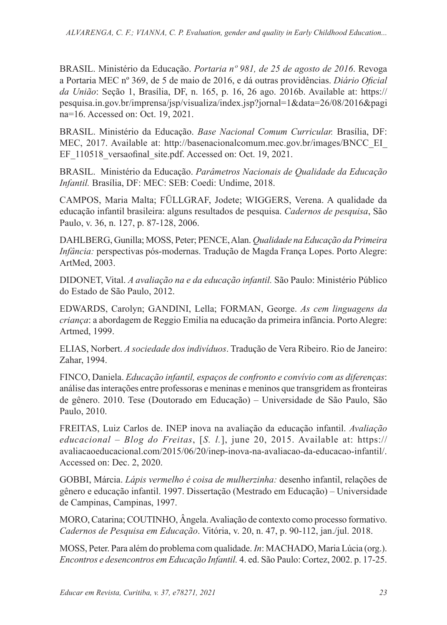BRASIL. Ministério da Educação. *Portaria nº 981, de 25 de agosto de 2016*. Revoga a Portaria MEC nº 369, de 5 de maio de 2016, e dá outras providências. *Diário Oficial da União*: Seção 1, Brasília, DF, n. 165, p. 16, 26 ago. 2016b. Available at: https:// pesquisa.in.gov.br/imprensa/jsp/visualiza/index.jsp?jornal=1&data=26/08/2016&pagi na=16. Accessed on: Oct. 19, 2021.

BRASIL. Ministério da Educação. *Base Nacional Comum Curricular.* Brasília, DF: MEC, 2017. Available at: http://basenacionalcomum.mec.gov.br/images/BNCC\_EI\_ EF 110518 versaofinal site.pdf. Accessed on: Oct. 19, 2021.

BRASIL. Ministério da Educação. *Parâmetros Nacionais de Qualidade da Educação Infantil.* Brasília, DF: MEC: SEB: Coedi: Undime, 2018.

CAMPOS, Maria Malta; FÜLLGRAF, Jodete; WIGGERS, Verena. A qualidade da educação infantil brasileira: alguns resultados de pesquisa. *Cadernos de pesquisa*, São Paulo, v. 36, n. 127, p. 87-128, 2006.

DAHLBERG, Gunilla; MOSS, Peter; PENCE, Alan. *Qualidade na Educação da Primeira Infância:* perspectivas pós-modernas. Tradução de Magda França Lopes. Porto Alegre: ArtMed, 2003.

DIDONET, Vital. *A avaliação na e da educação infantil.* São Paulo: Ministério Público do Estado de São Paulo, 2012.

EDWARDS, Carolyn; GANDINI, Lella; FORMAN, George. *As cem linguagens da criança*: a abordagem de Reggio Emilia na educação da primeira infância. Porto Alegre: Artmed, 1999.

ELIAS, Norbert. *A sociedade dos indivíduos*. Tradução de Vera Ribeiro. Rio de Janeiro: Zahar, 1994.

FINCO, Daniela. *Educação infantil, espaços de confronto e convívio com as diferenças*: análise das interações entre professoras e meninas e meninos que transgridem as fronteiras de gênero. 2010. Tese (Doutorado em Educação) – Universidade de São Paulo, São Paulo, 2010.

FREITAS, Luiz Carlos de. INEP inova na avaliação da educação infantil. *Avaliação educacional* – *Blog do Freitas*, [*S. l.*], june 20, 2015. Available at: https:// avaliacaoeducacional.com/2015/06/20/inep-inova-na-avaliacao-da-educacao-infantil/. Accessed on: Dec. 2, 2020.

GOBBI, Márcia. *Lápis vermelho é coisa de mulherzinha:* desenho infantil, relações de gênero e educação infantil. 1997. Dissertação (Mestrado em Educação) – Universidade de Campinas, Campinas, 1997.

MORO, Catarina; COUTINHO, Ângela. Avaliação de contexto como processo formativo. *Cadernos de Pesquisa em Educação*. Vitória, v. 20, n. 47, p. 90-112, jan./jul. 2018.

MOSS, Peter. Para além do problema com qualidade. *In*: MACHADO, Maria Lúcia (org.). *Encontros e desencontros em Educação Infantil.* 4. ed. São Paulo: Cortez, 2002. p. 17-25.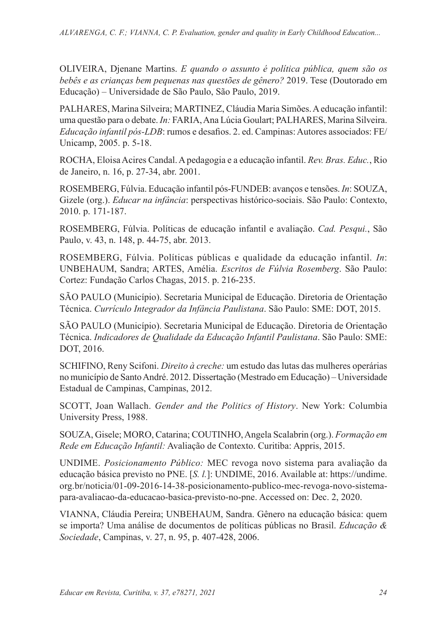OLIVEIRA, Djenane Martins. *E quando o assunto é política pública, quem são os bebês e as crianças bem pequenas nas questões de gênero?* 2019. Tese (Doutorado em Educação) – Universidade de São Paulo, São Paulo, 2019.

PALHARES, Marina Silveira; MARTINEZ, Cláudia Maria Simões. A educação infantil: uma questão para o debate. *In:* FARIA, Ana Lúcia Goulart; PALHARES, Marina Silveira. *Educação infantil pós-LDB*: rumos e desafios. 2. ed. Campinas: Autores associados: FE/ Unicamp, 2005. p. 5-18.

ROCHA, Eloisa Acires Candal. A pedagogia e a educação infantil. *Rev. Bras. Educ.*, Rio de Janeiro, n. 16, p. 27-34, abr. 2001.

ROSEMBERG, Fúlvia. Educação infantil pós-FUNDEB: avanços e tensões. *In*: SOUZA, Gizele (org.). *Educar na infância*: perspectivas histórico-sociais. São Paulo: Contexto, 2010. p. 171-187.

ROSEMBERG, Fúlvia. Políticas de educação infantil e avaliação. *Cad. Pesqui.*, São Paulo, v. 43, n. 148, p. 44-75, abr. 2013.

ROSEMBERG, Fúlvia. Políticas públicas e qualidade da educação infantil. *In*: UNBEHAUM, Sandra; ARTES, Amélia. *Escritos de Fúlvia Rosemberg*. São Paulo: Cortez: Fundação Carlos Chagas, 2015. p. 216-235.

SÃO PAULO (Município). Secretaria Municipal de Educação. Diretoria de Orientação Técnica. *Currículo Integrador da Infância Paulistana*. São Paulo: SME: DOT, 2015.

SÃO PAULO (Município). Secretaria Municipal de Educação. Diretoria de Orientação Técnica. *Indicadores de Qualidade da Educação Infantil Paulistana*. São Paulo: SME: DOT, 2016.

SCHIFINO, Reny Scifoni. *Direito à creche:* um estudo das lutas das mulheres operárias no município de Santo André. 2012. Dissertação (Mestrado em Educação) – Universidade Estadual de Campinas, Campinas, 2012.

SCOTT, Joan Wallach. *Gender and the Politics of History*. New York: Columbia University Press, 1988.

SOUZA, Gisele; MORO, Catarina; COUTINHO, Angela Scalabrin (org.). *Formação em Rede em Educação Infantil:* Avaliação de Contexto. Curitiba: Appris, 2015.

UNDIME. *Posicionamento Público:* MEC revoga novo sistema para avaliação da educação básica previsto no PNE. [*S. l.*]: UNDIME, 2016. Available at: https://undime. org.br/noticia/01-09-2016-14-38-posicionamento-publico-mec-revoga-novo-sistemapara-avaliacao-da-educacao-basica-previsto-no-pne. Accessed on: Dec. 2, 2020.

VIANNA, Cláudia Pereira; UNBEHAUM, Sandra. Gênero na educação básica: quem se importa? Uma análise de documentos de políticas públicas no Brasil. *Educação & Sociedade*, Campinas, v. 27, n. 95, p. 407-428, 2006.